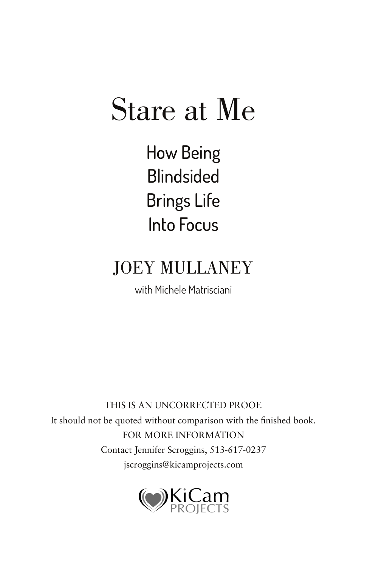# Stare at Me

How Being Blindsided Brings Life Into Focus

## JOEY MULLANEY

with Michele Matrisciani

THIS IS AN UNCORRECTED PROOF. It should not be quoted without comparison with the finished book. FOR MORE INFORMATION Contact Jennifer Scroggins, 513-617-0237 jscroggins@kicamprojects.com

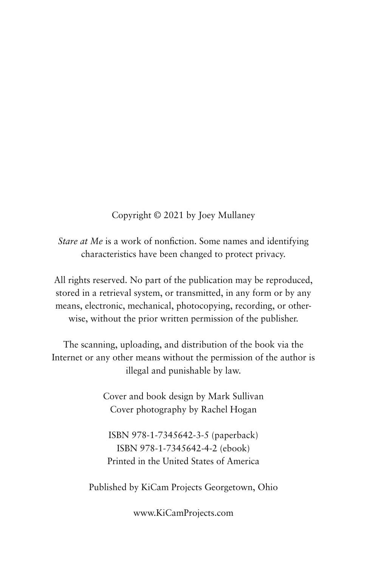Copyright © 2021 by Joey Mullaney

*Stare at Me* is a work of nonfiction. Some names and identifying characteristics have been changed to protect privacy.

All rights reserved. No part of the publication may be reproduced, stored in a retrieval system, or transmitted, in any form or by any means, electronic, mechanical, photocopying, recording, or otherwise, without the prior written permission of the publisher.

The scanning, uploading, and distribution of the book via the Internet or any other means without the permission of the author is illegal and punishable by law.

> Cover and book design by Mark Sullivan Cover photography by Rachel Hogan

ISBN 978-1-7345642-3-5 (paperback) ISBN 978-1-7345642-4-2 (ebook) Printed in the United States of America

Published by KiCam Projects Georgetown, Ohio

www.KiCamProjects.com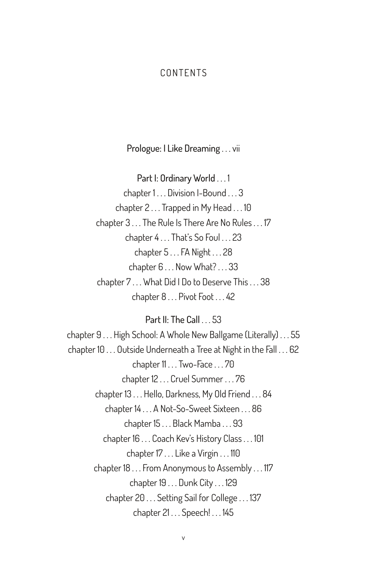#### **CONTENTS**

Prologue: I Like Dreaming . . . vii

Part I: Ordinary World . . . 1 chapter 1 . . . Division I-Bound . . . 3 chapter 2 . . . Trapped in My Head . . . 10 chapter 3 . . . The Rule Is There Are No Rules . . . 17 chapter 4 . . . That's So Foul . . . 23 chapter 5 . . . FA Night . . . 28 chapter 6 . . . Now What? . . . 33 chapter 7 . . . What Did I Do to Deserve This . . . 38 chapter 8 . . . Pivot Foot . . . 42

Part II: The Call ... 53

chapter 9 . . . High School: A Whole New Ballgame (Literally) . . . 55 chapter 10 . . . Outside Underneath a Tree at Night in the Fall . . . 62 chapter 11 . . . Two-Face . . . 70 chapter 12 . . . Cruel Summer . . . 76 chapter 13 . . . Hello, Darkness, My Old Friend . . . 84 chapter 14 . . . A Not-So-Sweet Sixteen . . . 86 chapter 15 . . . Black Mamba . . . 93 chapter 16 . . . Coach Kev's History Class . . . 101 chapter 17 . . . Like a Virgin . . . 110 chapter 18 . . . From Anonymous to Assembly . . . 117 chapter 19 . . . Dunk City . . . 129 chapter 20 . . . Setting Sail for College . . . 137 chapter 21 . . . Speech! . . . 145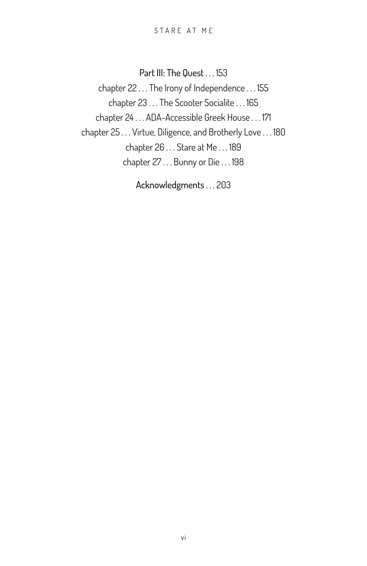Part III: The Quest . . . 153

chapter 22 . . . The Irony of Independence . . . 155 chapter 23 . . . The Scooter Socialite . . . 165 chapter 24 . . . ADA-Accessible Greek House . . . 171 chapter 25 . . . Virtue, Diligence, and Brotherly Love . . . 180 chapter 26 . . . Stare at Me . . . 189 chapter 27 . . . Bunny or Die . . . 198

Acknowledgments . . . 203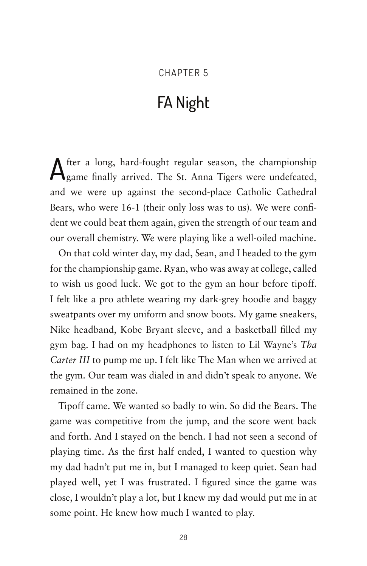#### CHAPTER 5

### FA Night

After a long, hard-fought regular season, the championship game finally arrived. The St. Anna Tigers were undefeated, and we were up against the second-place Catholic Cathedral Bears, who were 16-1 (their only loss was to us). We were confident we could beat them again, given the strength of our team and our overall chemistry. We were playing like a well-oiled machine.

On that cold winter day, my dad, Sean, and I headed to the gym for the championship game. Ryan, who was away at college, called to wish us good luck. We got to the gym an hour before tipoff. I felt like a pro athlete wearing my dark-grey hoodie and baggy sweatpants over my uniform and snow boots. My game sneakers, Nike headband, Kobe Bryant sleeve, and a basketball filled my gym bag. I had on my headphones to listen to Lil Wayne's *Tha Carter III* to pump me up. I felt like The Man when we arrived at the gym. Our team was dialed in and didn't speak to anyone. We remained in the zone.

Tipoff came. We wanted so badly to win. So did the Bears. The game was competitive from the jump, and the score went back and forth. And I stayed on the bench. I had not seen a second of playing time. As the first half ended, I wanted to question why my dad hadn't put me in, but I managed to keep quiet. Sean had played well, yet I was frustrated. I figured since the game was close, I wouldn't play a lot, but I knew my dad would put me in at some point. He knew how much I wanted to play.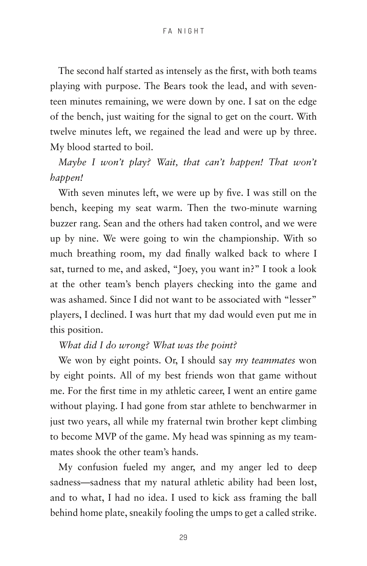The second half started as intensely as the first, with both teams playing with purpose. The Bears took the lead, and with seventeen minutes remaining, we were down by one. I sat on the edge of the bench, just waiting for the signal to get on the court. With twelve minutes left, we regained the lead and were up by three. My blood started to boil.

### *Maybe I won't play? Wait, that can't happen! That won't happen!*

With seven minutes left, we were up by five. I was still on the bench, keeping my seat warm. Then the two-minute warning buzzer rang. Sean and the others had taken control, and we were up by nine. We were going to win the championship. With so much breathing room, my dad finally walked back to where I sat, turned to me, and asked, "Joey, you want in?" I took a look at the other team's bench players checking into the game and was ashamed. Since I did not want to be associated with "lesser" players, I declined. I was hurt that my dad would even put me in this position.

### *What did I do wrong? What was the point?*

We won by eight points. Or, I should say *my teammates* won by eight points. All of my best friends won that game without me. For the first time in my athletic career, I went an entire game without playing. I had gone from star athlete to benchwarmer in just two years, all while my fraternal twin brother kept climbing to become MVP of the game. My head was spinning as my teammates shook the other team's hands.

My confusion fueled my anger, and my anger led to deep sadness—sadness that my natural athletic ability had been lost, and to what, I had no idea. I used to kick ass framing the ball behind home plate, sneakily fooling the umps to get a called strike.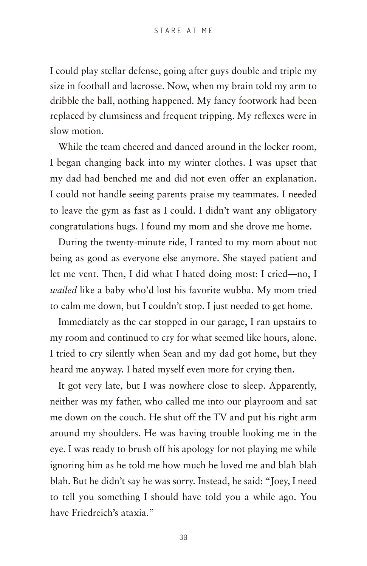I could play stellar defense, going after guys double and triple my size in football and lacrosse. Now, when my brain told my arm to dribble the ball, nothing happened. My fancy footwork had been replaced by clumsiness and frequent tripping. My reflexes were in slow motion.

While the team cheered and danced around in the locker room, I began changing back into my winter clothes. I was upset that my dad had benched me and did not even offer an explanation. I could not handle seeing parents praise my teammates. I needed to leave the gym as fast as I could. I didn't want any obligatory congratulations hugs. I found my mom and she drove me home.

During the twenty-minute ride, I ranted to my mom about not being as good as everyone else anymore. She stayed patient and let me vent. Then, I did what I hated doing most: I cried—no, I *wailed* like a baby who'd lost his favorite wubba. My mom tried to calm me down, but I couldn't stop. I just needed to get home.

Immediately as the car stopped in our garage, I ran upstairs to my room and continued to cry for what seemed like hours, alone. I tried to cry silently when Sean and my dad got home, but they heard me anyway. I hated myself even more for crying then.

It got very late, but I was nowhere close to sleep. Apparently, neither was my father, who called me into our playroom and sat me down on the couch. He shut off the TV and put his right arm around my shoulders. He was having trouble looking me in the eye. I was ready to brush off his apology for not playing me while ignoring him as he told me how much he loved me and blah blah blah. But he didn't say he was sorry. Instead, he said: "Joey, I need to tell you something I should have told you a while ago. You have Friedreich's ataxia."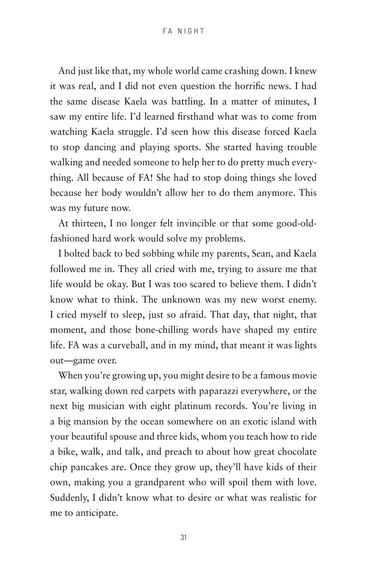And just like that, my whole world came crashing down. I knew it was real, and I did not even question the horrific news. I had the same disease Kaela was battling. In a matter of minutes, I saw my entire life. I'd learned firsthand what was to come from watching Kaela struggle. I'd seen how this disease forced Kaela to stop dancing and playing sports. She started having trouble walking and needed someone to help her to do pretty much everything. All because of FA! She had to stop doing things she loved because her body wouldn't allow her to do them anymore. This was my future now.

At thirteen, I no longer felt invincible or that some good-oldfashioned hard work would solve my problems.

I bolted back to bed sobbing while my parents, Sean, and Kaela followed me in. They all cried with me, trying to assure me that life would be okay. But I was too scared to believe them. I didn't know what to think. The unknown was my new worst enemy. I cried myself to sleep, just so afraid. That day, that night, that moment, and those bone-chilling words have shaped my entire life. FA was a curveball, and in my mind, that meant it was lights out—game over.

When you're growing up, you might desire to be a famous movie star, walking down red carpets with paparazzi everywhere, or the next big musician with eight platinum records. You're living in a big mansion by the ocean somewhere on an exotic island with your beautiful spouse and three kids, whom you teach how to ride a bike, walk, and talk, and preach to about how great chocolate chip pancakes are. Once they grow up, they'll have kids of their own, making you a grandparent who will spoil them with love. Suddenly, I didn't know what to desire or what was realistic for me to anticipate.

31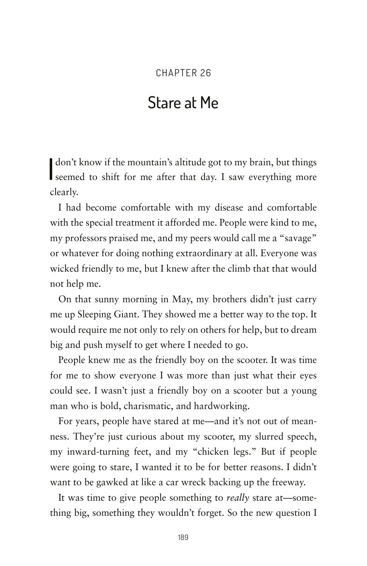### CHAPTER 26

### Stare at Me

I don't know if the mountain's altitude got to my brain, but things seemed to shift for me after that day. I saw everything more clearly.

I had become comfortable with my disease and comfortable with the special treatment it afforded me. People were kind to me, my professors praised me, and my peers would call me a "savage" or whatever for doing nothing extraordinary at all. Everyone was wicked friendly to me, but I knew after the climb that that would not help me.

On that sunny morning in May, my brothers didn't just carry me up Sleeping Giant. They showed me a better way to the top. It would require me not only to rely on others for help, but to dream big and push myself to get where I needed to go.

People knew me as the friendly boy on the scooter. It was time for me to show everyone I was more than just what their eyes could see. I wasn't just a friendly boy on a scooter but a young man who is bold, charismatic, and hardworking.

For years, people have stared at me—and it's not out of meanness. They're just curious about my scooter, my slurred speech, my inward-turning feet, and my "chicken legs." But if people were going to stare, I wanted it to be for better reasons. I didn't want to be gawked at like a car wreck backing up the freeway.

It was time to give people something to *really* stare at—something big, something they wouldn't forget. So the new question I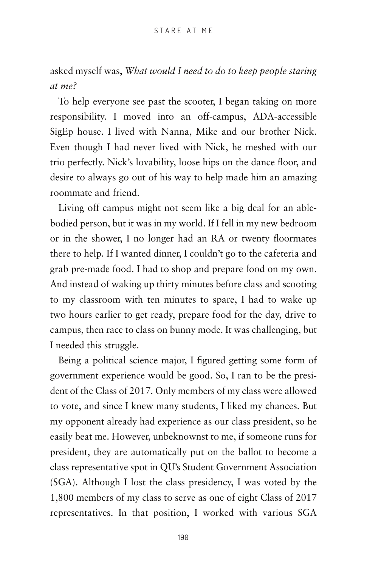asked myself was, *What would I need to do to keep people staring at me?*

To help everyone see past the scooter, I began taking on more responsibility. I moved into an off-campus, ADA-accessible SigEp house. I lived with Nanna, Mike and our brother Nick. Even though I had never lived with Nick, he meshed with our trio perfectly. Nick's lovability, loose hips on the dance floor, and desire to always go out of his way to help made him an amazing roommate and friend.

Living off campus might not seem like a big deal for an ablebodied person, but it was in my world. If I fell in my new bedroom or in the shower, I no longer had an RA or twenty floormates there to help. If I wanted dinner, I couldn't go to the cafeteria and grab pre-made food. I had to shop and prepare food on my own. And instead of waking up thirty minutes before class and scooting to my classroom with ten minutes to spare, I had to wake up two hours earlier to get ready, prepare food for the day, drive to campus, then race to class on bunny mode. It was challenging, but I needed this struggle.

Being a political science major, I figured getting some form of government experience would be good. So, I ran to be the president of the Class of 2017. Only members of my class were allowed to vote, and since I knew many students, I liked my chances. But my opponent already had experience as our class president, so he easily beat me. However, unbeknownst to me, if someone runs for president, they are automatically put on the ballot to become a class representative spot in QU's Student Government Association (SGA). Although I lost the class presidency, I was voted by the 1,800 members of my class to serve as one of eight Class of 2017 representatives. In that position, I worked with various SGA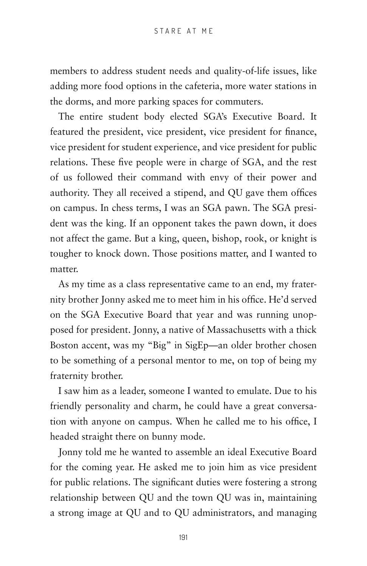members to address student needs and quality-of-life issues, like adding more food options in the cafeteria, more water stations in the dorms, and more parking spaces for commuters.

The entire student body elected SGA's Executive Board. It featured the president, vice president, vice president for finance, vice president for student experience, and vice president for public relations. These five people were in charge of SGA, and the rest of us followed their command with envy of their power and authority. They all received a stipend, and QU gave them offices on campus. In chess terms, I was an SGA pawn. The SGA president was the king. If an opponent takes the pawn down, it does not affect the game. But a king, queen, bishop, rook, or knight is tougher to knock down. Those positions matter, and I wanted to matter.

As my time as a class representative came to an end, my fraternity brother Jonny asked me to meet him in his office. He'd served on the SGA Executive Board that year and was running unopposed for president. Jonny, a native of Massachusetts with a thick Boston accent, was my "Big" in SigEp—an older brother chosen to be something of a personal mentor to me, on top of being my fraternity brother.

I saw him as a leader, someone I wanted to emulate. Due to his friendly personality and charm, he could have a great conversation with anyone on campus. When he called me to his office, I headed straight there on bunny mode.

Jonny told me he wanted to assemble an ideal Executive Board for the coming year. He asked me to join him as vice president for public relations. The significant duties were fostering a strong relationship between QU and the town QU was in, maintaining a strong image at QU and to QU administrators, and managing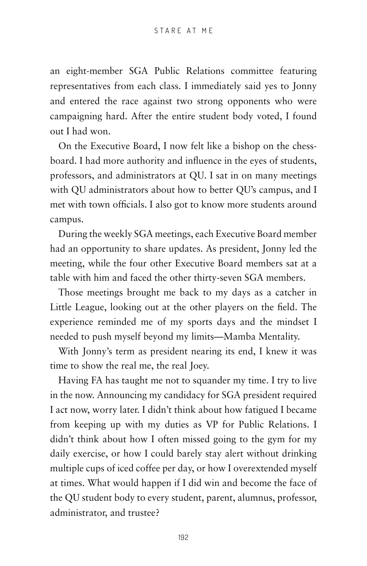an eight-member SGA Public Relations committee featuring representatives from each class. I immediately said yes to Jonny and entered the race against two strong opponents who were campaigning hard. After the entire student body voted, I found out I had won.

On the Executive Board, I now felt like a bishop on the chessboard. I had more authority and influence in the eyes of students, professors, and administrators at QU. I sat in on many meetings with QU administrators about how to better QU's campus, and I met with town officials. I also got to know more students around campus.

During the weekly SGA meetings, each Executive Board member had an opportunity to share updates. As president, Jonny led the meeting, while the four other Executive Board members sat at a table with him and faced the other thirty-seven SGA members.

Those meetings brought me back to my days as a catcher in Little League, looking out at the other players on the field. The experience reminded me of my sports days and the mindset I needed to push myself beyond my limits—Mamba Mentality.

With Jonny's term as president nearing its end, I knew it was time to show the real me, the real Joey.

Having FA has taught me not to squander my time. I try to live in the now. Announcing my candidacy for SGA president required I act now, worry later. I didn't think about how fatigued I became from keeping up with my duties as VP for Public Relations. I didn't think about how I often missed going to the gym for my daily exercise, or how I could barely stay alert without drinking multiple cups of iced coffee per day, or how I overextended myself at times. What would happen if I did win and become the face of the QU student body to every student, parent, alumnus, professor, administrator, and trustee?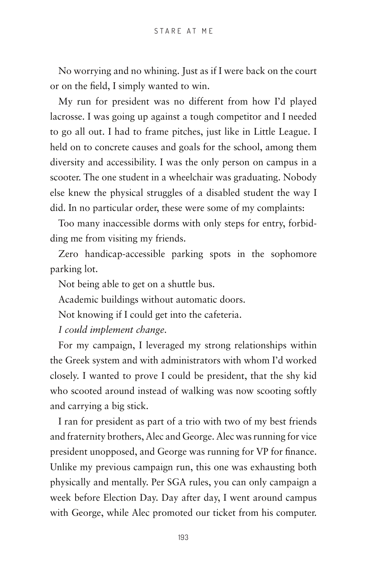No worrying and no whining. Just as if I were back on the court or on the field, I simply wanted to win.

My run for president was no different from how I'd played lacrosse. I was going up against a tough competitor and I needed to go all out. I had to frame pitches, just like in Little League. I held on to concrete causes and goals for the school, among them diversity and accessibility. I was the only person on campus in a scooter. The one student in a wheelchair was graduating. Nobody else knew the physical struggles of a disabled student the way I did. In no particular order, these were some of my complaints:

Too many inaccessible dorms with only steps for entry, forbidding me from visiting my friends.

Zero handicap-accessible parking spots in the sophomore parking lot.

Not being able to get on a shuttle bus.

Academic buildings without automatic doors.

Not knowing if I could get into the cafeteria.

*I could implement change.*

For my campaign, I leveraged my strong relationships within the Greek system and with administrators with whom I'd worked closely. I wanted to prove I could be president, that the shy kid who scooted around instead of walking was now scooting softly and carrying a big stick.

I ran for president as part of a trio with two of my best friends and fraternity brothers, Alec and George. Alec was running for vice president unopposed, and George was running for VP for finance. Unlike my previous campaign run, this one was exhausting both physically and mentally. Per SGA rules, you can only campaign a week before Election Day. Day after day, I went around campus with George, while Alec promoted our ticket from his computer.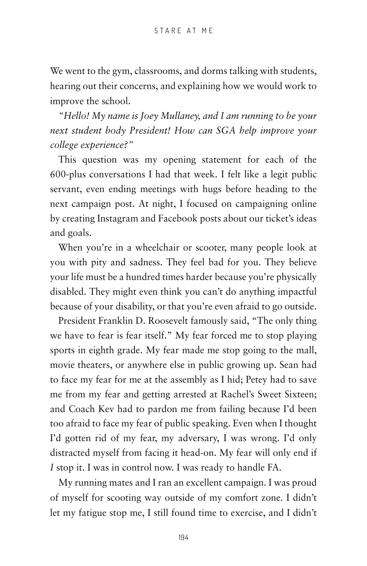We went to the gym, classrooms, and dorms talking with students, hearing out their concerns, and explaining how we would work to improve the school.

*"Hello! My name is Joey Mullaney, and I am running to be your next student body President! How can SGA help improve your college experience?"*

This question was my opening statement for each of the 600-plus conversations I had that week. I felt like a legit public servant, even ending meetings with hugs before heading to the next campaign post. At night, I focused on campaigning online by creating Instagram and Facebook posts about our ticket's ideas and goals.

When you're in a wheelchair or scooter, many people look at you with pity and sadness. They feel bad for you. They believe your life must be a hundred times harder because you're physically disabled. They might even think you can't do anything impactful because of your disability, or that you're even afraid to go outside.

President Franklin D. Roosevelt famously said, "The only thing we have to fear is fear itself." My fear forced me to stop playing sports in eighth grade. My fear made me stop going to the mall, movie theaters, or anywhere else in public growing up. Sean had to face my fear for me at the assembly as I hid; Petey had to save me from my fear and getting arrested at Rachel's Sweet Sixteen; and Coach Kev had to pardon me from failing because I'd been too afraid to face my fear of public speaking. Even when I thought I'd gotten rid of my fear, my adversary, I was wrong. I'd only distracted myself from facing it head-on. My fear will only end if *I* stop it. I was in control now. I was ready to handle FA.

My running mates and I ran an excellent campaign. I was proud of myself for scooting way outside of my comfort zone. I didn't let my fatigue stop me, I still found time to exercise, and I didn't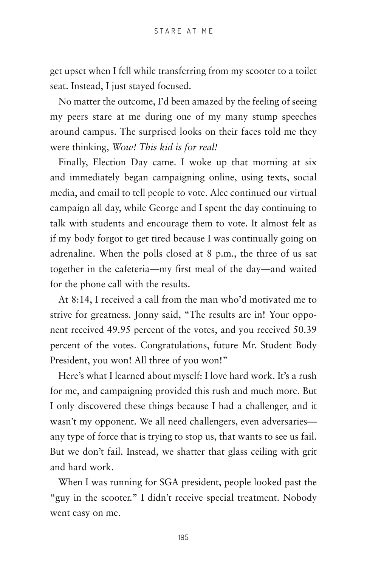get upset when I fell while transferring from my scooter to a toilet seat. Instead, I just stayed focused.

No matter the outcome, I'd been amazed by the feeling of seeing my peers stare at me during one of my many stump speeches around campus. The surprised looks on their faces told me they were thinking, *Wow! This kid is for real!*

Finally, Election Day came. I woke up that morning at six and immediately began campaigning online, using texts, social media, and email to tell people to vote. Alec continued our virtual campaign all day, while George and I spent the day continuing to talk with students and encourage them to vote. It almost felt as if my body forgot to get tired because I was continually going on adrenaline. When the polls closed at 8 p.m., the three of us sat together in the cafeteria—my first meal of the day—and waited for the phone call with the results.

At 8:14, I received a call from the man who'd motivated me to strive for greatness. Jonny said, "The results are in! Your opponent received 49.95 percent of the votes, and you received 50.39 percent of the votes. Congratulations, future Mr. Student Body President, you won! All three of you won!"

Here's what I learned about myself: I love hard work. It's a rush for me, and campaigning provided this rush and much more. But I only discovered these things because I had a challenger, and it wasn't my opponent. We all need challengers, even adversaries any type of force that is trying to stop us, that wants to see us fail. But we don't fail. Instead, we shatter that glass ceiling with grit and hard work.

When I was running for SGA president, people looked past the "guy in the scooter." I didn't receive special treatment. Nobody went easy on me.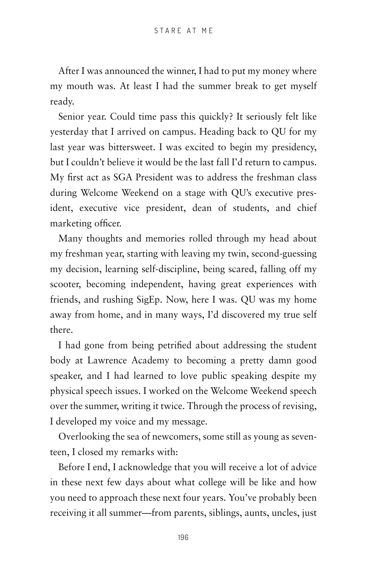After I was announced the winner, I had to put my money where my mouth was. At least I had the summer break to get myself ready.

Senior year. Could time pass this quickly? It seriously felt like yesterday that I arrived on campus. Heading back to QU for my last year was bittersweet. I was excited to begin my presidency, but I couldn't believe it would be the last fall I'd return to campus. My first act as SGA President was to address the freshman class during Welcome Weekend on a stage with QU's executive president, executive vice president, dean of students, and chief marketing officer.

Many thoughts and memories rolled through my head about my freshman year, starting with leaving my twin, second-guessing my decision, learning self-discipline, being scared, falling off my scooter, becoming independent, having great experiences with friends, and rushing SigEp. Now, here I was. QU was my home away from home, and in many ways, I'd discovered my true self there.

I had gone from being petrified about addressing the student body at Lawrence Academy to becoming a pretty damn good speaker, and I had learned to love public speaking despite my physical speech issues. I worked on the Welcome Weekend speech over the summer, writing it twice. Through the process of revising, I developed my voice and my message.

Overlooking the sea of newcomers, some still as young as seventeen, I closed my remarks with:

Before I end, I acknowledge that you will receive a lot of advice in these next few days about what college will be like and how you need to approach these next four years. You've probably been receiving it all summer—from parents, siblings, aunts, uncles, just